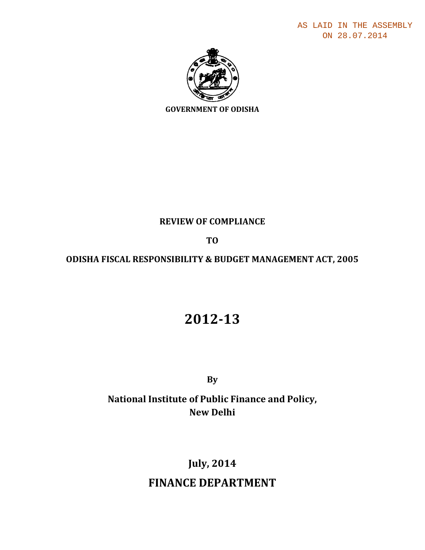AS LAID IN THE ASSEMBLY ON 28.07.2014



### **REVIEW OF COMPLIANCE**

**TO** 

### **ODISHA FISCAL RESPONSIBILITY & BUDGET MANAGEMENT ACT, 2005**

# **201213**

**By**

**National Institute of Public Finance and Policy, New Delhi**

# **July, 2014**

## **FINANCE DEPARTMENT**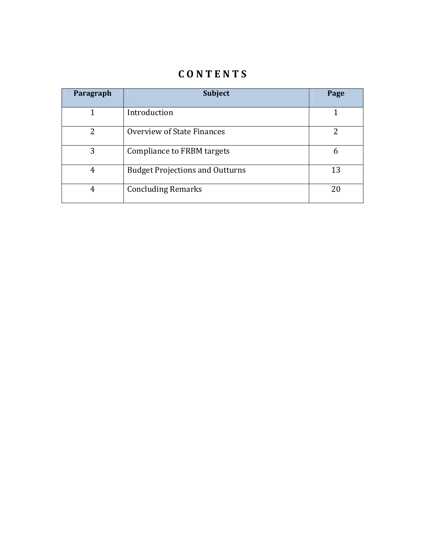# **C O N T E N T S**

| Paragraph | <b>Subject</b>                         | Page |
|-----------|----------------------------------------|------|
|           | Introduction                           |      |
| 2         | Overview of State Finances             | 2    |
| 3         | Compliance to FRBM targets             | 6    |
| 4         | <b>Budget Projections and Outturns</b> | 13   |
| 4         | <b>Concluding Remarks</b>              | 20   |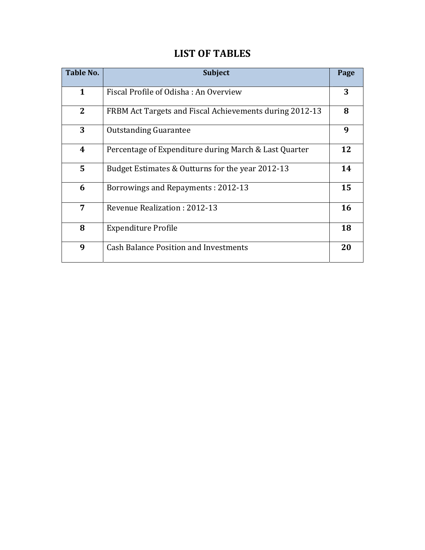| Table No.        | <b>Subject</b>                                          | Page      |
|------------------|---------------------------------------------------------|-----------|
| $\mathbf{1}$     | Fiscal Profile of Odisha: An Overview                   | 3         |
| $\overline{2}$   | FRBM Act Targets and Fiscal Achievements during 2012-13 | 8         |
| 3                | <b>Outstanding Guarantee</b>                            | 9         |
| $\boldsymbol{4}$ | Percentage of Expenditure during March & Last Quarter   | 12        |
| 5                | Budget Estimates & Outturns for the year 2012-13        | 14        |
| 6                | Borrowings and Repayments: 2012-13                      | 15        |
| 7                | Revenue Realization: 2012-13                            | <b>16</b> |
| 8                | <b>Expenditure Profile</b>                              | 18        |
| 9                | <b>Cash Balance Position and Investments</b>            | 20        |

## **LIST OF TABLES**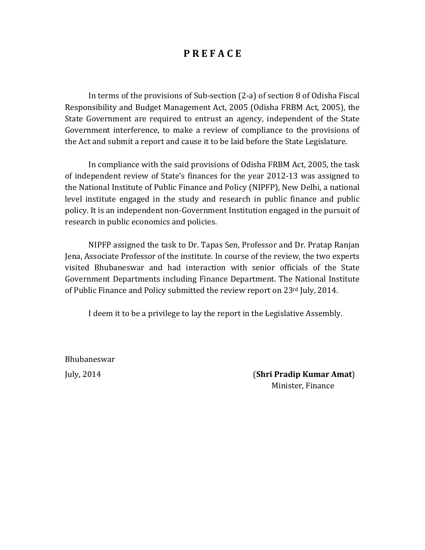### **P R E F A C E**

In terms of the provisions of Sub-section (2-a) of section 8 of Odisha Fiscal Responsibility and Budget Management Act, 2005 (Odisha FRBM Act, 2005), the State Government are required to entrust an agency, independent of the State Government interference, to make a review of compliance to the provisions of the Act and submit a report and cause it to be laid before the State Legislature.

In compliance with the said provisions of Odisha FRBM Act, 2005, the task of independent review of State's finances for the year 2012‐13 was assigned to the National Institute of Public Finance and Policy (NIPFP), New Delhi, a national level institute engaged in the study and research in public finance and public policy. It is an independent non‐Government Institution engaged in the pursuit of research in public economics and policies.

NIPFP assigned the task to Dr. Tapas Sen, Professor and Dr. Pratap Ranjan Jena, Associate Professor of the institute. In course of the review, the two experts visited Bhubaneswar and had interaction with senior officials of the State Government Departments including Finance Department. The National Institute of Public Finance and Policy submitted the review report on 23rd July, 2014.

I deem it to be a privilege to lay the report in the Legislative Assembly.

Bhubaneswar

July, 2014 (**Shri Pradip Kumar Amat**) Minister, Finance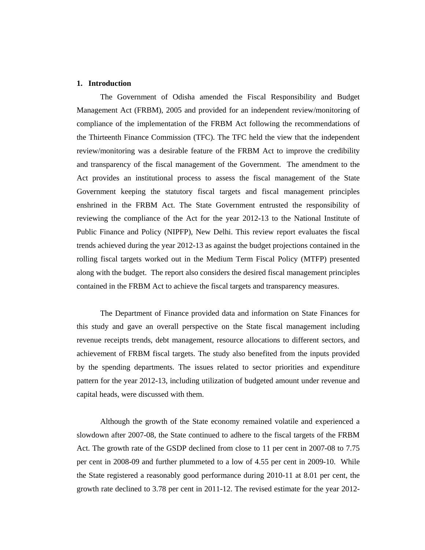#### **1. Introduction**

 The Government of Odisha amended the Fiscal Responsibility and Budget Management Act (FRBM), 2005 and provided for an independent review/monitoring of compliance of the implementation of the FRBM Act following the recommendations of the Thirteenth Finance Commission (TFC). The TFC held the view that the independent review/monitoring was a desirable feature of the FRBM Act to improve the credibility and transparency of the fiscal management of the Government. The amendment to the Act provides an institutional process to assess the fiscal management of the State Government keeping the statutory fiscal targets and fiscal management principles enshrined in the FRBM Act. The State Government entrusted the responsibility of reviewing the compliance of the Act for the year 2012-13 to the National Institute of Public Finance and Policy (NIPFP), New Delhi. This review report evaluates the fiscal trends achieved during the year 2012-13 as against the budget projections contained in the rolling fiscal targets worked out in the Medium Term Fiscal Policy (MTFP) presented along with the budget. The report also considers the desired fiscal management principles contained in the FRBM Act to achieve the fiscal targets and transparency measures.

The Department of Finance provided data and information on State Finances for this study and gave an overall perspective on the State fiscal management including revenue receipts trends, debt management, resource allocations to different sectors, and achievement of FRBM fiscal targets. The study also benefited from the inputs provided by the spending departments. The issues related to sector priorities and expenditure pattern for the year 2012-13, including utilization of budgeted amount under revenue and capital heads, were discussed with them.

 Although the growth of the State economy remained volatile and experienced a slowdown after 2007-08, the State continued to adhere to the fiscal targets of the FRBM Act. The growth rate of the GSDP declined from close to 11 per cent in 2007-08 to 7.75 per cent in 2008-09 and further plummeted to a low of 4.55 per cent in 2009-10. While the State registered a reasonably good performance during 2010-11 at 8.01 per cent, the growth rate declined to 3.78 per cent in 2011-12. The revised estimate for the year 2012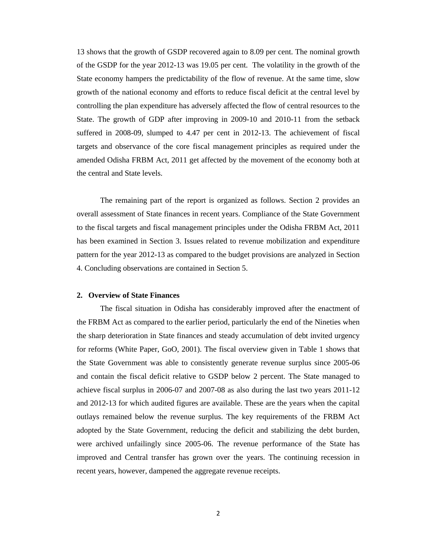13 shows that the growth of GSDP recovered again to 8.09 per cent. The nominal growth of the GSDP for the year 2012-13 was 19.05 per cent. The volatility in the growth of the State economy hampers the predictability of the flow of revenue. At the same time, slow growth of the national economy and efforts to reduce fiscal deficit at the central level by controlling the plan expenditure has adversely affected the flow of central resources to the State. The growth of GDP after improving in 2009-10 and 2010-11 from the setback suffered in 2008-09, slumped to 4.47 per cent in 2012-13. The achievement of fiscal targets and observance of the core fiscal management principles as required under the amended Odisha FRBM Act, 2011 get affected by the movement of the economy both at the central and State levels.

 The remaining part of the report is organized as follows. Section 2 provides an overall assessment of State finances in recent years. Compliance of the State Government to the fiscal targets and fiscal management principles under the Odisha FRBM Act, 2011 has been examined in Section 3. Issues related to revenue mobilization and expenditure pattern for the year 2012-13 as compared to the budget provisions are analyzed in Section 4. Concluding observations are contained in Section 5.

#### **2. Overview of State Finances**

 The fiscal situation in Odisha has considerably improved after the enactment of the FRBM Act as compared to the earlier period, particularly the end of the Nineties when the sharp deterioration in State finances and steady accumulation of debt invited urgency for reforms (White Paper, GoO, 2001). The fiscal overview given in Table 1 shows that the State Government was able to consistently generate revenue surplus since 2005-06 and contain the fiscal deficit relative to GSDP below 2 percent. The State managed to achieve fiscal surplus in 2006-07 and 2007-08 as also during the last two years 2011-12 and 2012-13 for which audited figures are available. These are the years when the capital outlays remained below the revenue surplus. The key requirements of the FRBM Act adopted by the State Government, reducing the deficit and stabilizing the debt burden, were archived unfailingly since 2005-06. The revenue performance of the State has improved and Central transfer has grown over the years. The continuing recession in recent years, however, dampened the aggregate revenue receipts.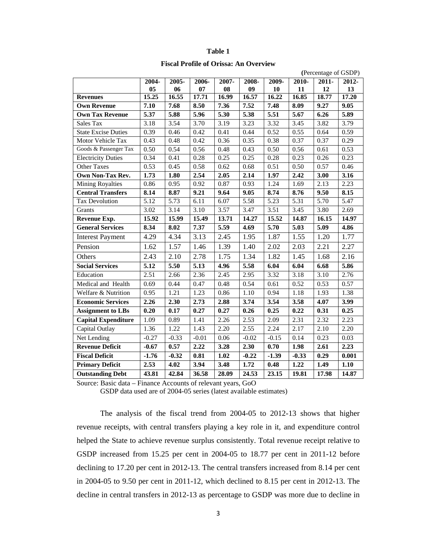| ۰.<br>٠<br>۰,<br>۰,<br>× |  |
|--------------------------|--|
|                          |  |

|  | <b>Fiscal Profile of Orissa: An Overview</b> |  |
|--|----------------------------------------------|--|
|  |                                              |  |

| (Percentage of GSDP)       |                   |                   |                   |                   |         |         |         |       |       |
|----------------------------|-------------------|-------------------|-------------------|-------------------|---------|---------|---------|-------|-------|
|                            | 2004-             | 2005-             | 2006-             | $2007 -$          | 2008-   | 2009-   | 2010-   | 2011- | 2012- |
|                            | 05                | 06                | 07                | 08                | 09      | 10      | 11      | 12    | 13    |
| <b>Revenues</b>            | 15.25             | 16.55             | 17.71             | 16.99             | 16.57   | 16.22   | 16.85   | 18.77 | 17.20 |
| <b>Own Revenue</b>         | 7.10              | 7.68              | 8.50              | 7.36              | 7.52    | 7.48    | 8.09    | 9.27  | 9.05  |
| <b>Own Tax Revenue</b>     | $\overline{5.37}$ | 5.88              | 5.96              | $\overline{5.30}$ | 5.38    | 5.51    | 5.67    | 6.26  | 5.89  |
| Sales Tax                  | 3.18              | 3.54              | 3.70              | 3.19              | 3.23    | 3.32    | 3.45    | 3.82  | 3.79  |
| <b>State Excise Duties</b> | 0.39              | 0.46              | 0.42              | 0.41              | 0.44    | 0.52    | 0.55    | 0.64  | 0.59  |
| Motor Vehicle Tax          | 0.43              | 0.48              | 0.42              | 0.36              | 0.35    | 0.38    | 0.37    | 0.37  | 0.29  |
| Goods & Passenger Tax      | 0.50              | 0.54              | 0.56              | 0.48              | 0.43    | 0.50    | 0.56    | 0.61  | 0.53  |
| <b>Electricity Duties</b>  | 0.34              | 0.41              | 0.28              | 0.25              | 0.25    | 0.28    | 0.23    | 0.26  | 0.23  |
| <b>Other Taxes</b>         | 0.53              | 0.45              | 0.58              | 0.62              | 0.68    | 0.51    | 0.50    | 0.57  | 0.46  |
| Own Non-Tax Rev.           | 1.73              | 1.80              | 2.54              | 2.05              | 2.14    | 1.97    | 2.42    | 3.00  | 3.16  |
| <b>Mining Royalties</b>    | 0.86              | 0.95              | 0.92              | 0.87              | 0.93    | 1.24    | 1.69    | 2.13  | 2.23  |
| <b>Central Transfers</b>   | 8.14              | 8.87              | 9.21              | 9.64              | 9.05    | 8.74    | 8.76    | 9.50  | 8.15  |
| Tax Devolution             | 5.12              | 5.73              | 6.11              | 6.07              | 5.58    | 5.23    | 5.31    | 5.70  | 5.47  |
| Grants                     | 3.02              | 3.14              | 3.10              | 3.57              | 3.47    | 3.51    | 3.45    | 3.80  | 2.69  |
| Revenue Exp.               | 15.92             | 15.99             | 15.49             | 13.71             | 14.27   | 15.52   | 14.87   | 16.15 | 14.97 |
| <b>General Services</b>    | 8.34              | 8.02              | 7.37              | 5.59              | 4.69    | 5.70    | 5.03    | 5.09  | 4.86  |
| <b>Interest Payment</b>    | 4.29              | 4.34              | 3.13              | 2.45              | 1.95    | 1.87    | 1.55    | 1.20  | 1.77  |
| Pension                    | 1.62              | 1.57              | 1.46              | 1.39              | 1.40    | 2.02    | 2.03    | 2.21  | 2.27  |
| Others                     | 2.43              | 2.10              | 2.78              | 1.75              | 1.34    | 1.82    | 1.45    | 1.68  | 2.16  |
| <b>Social Services</b>     | $\overline{5.12}$ | $\overline{5.50}$ | $\overline{5.13}$ | 4.96              | 5.58    | 6.04    | 6.04    | 6.68  | 5.86  |
| Education                  | 2.51              | 2.66              | 2.36              | 2.45              | 2.95    | 3.32    | 3.18    | 3.10  | 2.76  |
| Medical and Health         | 0.69              | 0.44              | 0.47              | 0.48              | 0.54    | 0.61    | 0.52    | 0.53  | 0.57  |
| Welfare & Nutrition        | 0.95              | 1.21              | 1.23              | 0.86              | 1.10    | 0.94    | 1.18    | 1.93  | 1.38  |
| <b>Economic Services</b>   | 2.26              | 2.30              | 2.73              | 2.88              | 3.74    | 3.54    | 3.58    | 4.07  | 3.99  |
| <b>Assignment to LBs</b>   | 0.20              | 0.17              | 0.27              | 0.27              | 0.26    | 0.25    | 0.22    | 0.31  | 0.25  |
| <b>Capital Expenditure</b> | 1.09              | 0.89              | 1.41              | 2.26              | 2.53    | 2.09    | 2.31    | 2.32  | 2.23  |
| Capital Outlay             | 1.36              | 1.22              | 1.43              | 2.20              | 2.55    | 2.24    | 2.17    | 2.10  | 2.20  |
| Net Lending                | $-0.27$           | $-0.33$           | $-0.01$           | 0.06              | $-0.02$ | $-0.15$ | 0.14    | 0.23  | 0.03  |
| <b>Revenue Deficit</b>     | $-0.67$           | 0.57              | 2.22              | 3.28              | 2.30    | 0.70    | 1.98    | 2.61  | 2.23  |
| <b>Fiscal Deficit</b>      | $-1.76$           | $-0.32$           | 0.81              | 1.02              | $-0.22$ | $-1.39$ | $-0.33$ | 0.29  | 0.001 |
| <b>Primary Deficit</b>     | 2.53              | 4.02              | 3.94              | 3.48              | 1.72    | 0.48    | 1.22    | 1.49  | 1.10  |
| <b>Outstanding Debt</b>    | 43.81             | 42.84             | 36.58             | 28.09             | 24.53   | 23.15   | 19.81   | 17.98 | 14.87 |

Source: Basic data – Finance Accounts of relevant years, GoO

GSDP data used are of 2004-05 series (latest available estimates)

The analysis of the fiscal trend from 2004-05 to 2012-13 shows that higher revenue receipts, with central transfers playing a key role in it, and expenditure control helped the State to achieve revenue surplus consistently. Total revenue receipt relative to GSDP increased from 15.25 per cent in 2004-05 to 18.77 per cent in 2011-12 before declining to 17.20 per cent in 2012-13. The central transfers increased from 8.14 per cent in 2004-05 to 9.50 per cent in 2011-12, which declined to 8.15 per cent in 2012-13. The decline in central transfers in 2012-13 as percentage to GSDP was more due to decline in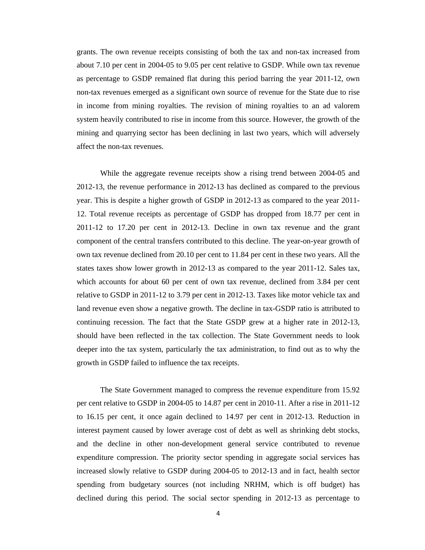grants. The own revenue receipts consisting of both the tax and non-tax increased from about 7.10 per cent in 2004-05 to 9.05 per cent relative to GSDP. While own tax revenue as percentage to GSDP remained flat during this period barring the year 2011-12, own non-tax revenues emerged as a significant own source of revenue for the State due to rise in income from mining royalties. The revision of mining royalties to an ad valorem system heavily contributed to rise in income from this source. However, the growth of the mining and quarrying sector has been declining in last two years, which will adversely affect the non-tax revenues.

While the aggregate revenue receipts show a rising trend between 2004-05 and 2012-13, the revenue performance in 2012-13 has declined as compared to the previous year. This is despite a higher growth of GSDP in 2012-13 as compared to the year 2011- 12. Total revenue receipts as percentage of GSDP has dropped from 18.77 per cent in 2011-12 to 17.20 per cent in 2012-13. Decline in own tax revenue and the grant component of the central transfers contributed to this decline. The year-on-year growth of own tax revenue declined from 20.10 per cent to 11.84 per cent in these two years. All the states taxes show lower growth in 2012-13 as compared to the year 2011-12. Sales tax, which accounts for about 60 per cent of own tax revenue, declined from 3.84 per cent relative to GSDP in 2011-12 to 3.79 per cent in 2012-13. Taxes like motor vehicle tax and land revenue even show a negative growth. The decline in tax-GSDP ratio is attributed to continuing recession. The fact that the State GSDP grew at a higher rate in 2012-13, should have been reflected in the tax collection. The State Government needs to look deeper into the tax system, particularly the tax administration, to find out as to why the growth in GSDP failed to influence the tax receipts.

The State Government managed to compress the revenue expenditure from 15.92 per cent relative to GSDP in 2004-05 to 14.87 per cent in 2010-11. After a rise in 2011-12 to 16.15 per cent, it once again declined to 14.97 per cent in 2012-13. Reduction in interest payment caused by lower average cost of debt as well as shrinking debt stocks, and the decline in other non-development general service contributed to revenue expenditure compression. The priority sector spending in aggregate social services has increased slowly relative to GSDP during 2004-05 to 2012-13 and in fact, health sector spending from budgetary sources (not including NRHM, which is off budget) has declined during this period. The social sector spending in 2012-13 as percentage to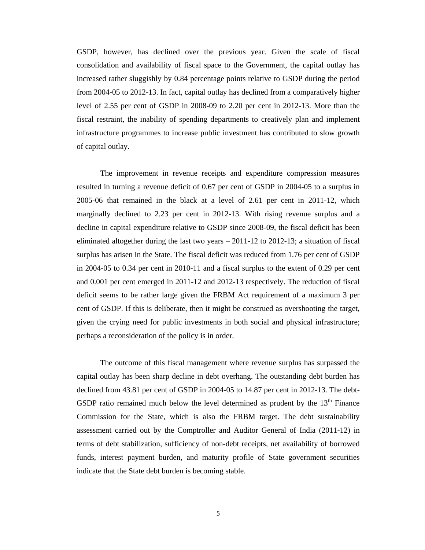GSDP, however, has declined over the previous year. Given the scale of fiscal consolidation and availability of fiscal space to the Government, the capital outlay has increased rather sluggishly by 0.84 percentage points relative to GSDP during the period from 2004-05 to 2012-13. In fact, capital outlay has declined from a comparatively higher level of 2.55 per cent of GSDP in 2008-09 to 2.20 per cent in 2012-13. More than the fiscal restraint, the inability of spending departments to creatively plan and implement infrastructure programmes to increase public investment has contributed to slow growth of capital outlay.

The improvement in revenue receipts and expenditure compression measures resulted in turning a revenue deficit of 0.67 per cent of GSDP in 2004-05 to a surplus in 2005-06 that remained in the black at a level of 2.61 per cent in 2011-12, which marginally declined to 2.23 per cent in 2012-13. With rising revenue surplus and a decline in capital expenditure relative to GSDP since 2008-09, the fiscal deficit has been eliminated altogether during the last two years – 2011-12 to 2012-13; a situation of fiscal surplus has arisen in the State. The fiscal deficit was reduced from 1.76 per cent of GSDP in 2004-05 to 0.34 per cent in 2010-11 and a fiscal surplus to the extent of 0.29 per cent and 0.001 per cent emerged in 2011-12 and 2012-13 respectively. The reduction of fiscal deficit seems to be rather large given the FRBM Act requirement of a maximum 3 per cent of GSDP. If this is deliberate, then it might be construed as overshooting the target, given the crying need for public investments in both social and physical infrastructure; perhaps a reconsideration of the policy is in order.

The outcome of this fiscal management where revenue surplus has surpassed the capital outlay has been sharp decline in debt overhang. The outstanding debt burden has declined from 43.81 per cent of GSDP in 2004-05 to 14.87 per cent in 2012-13. The debt-GSDP ratio remained much below the level determined as prudent by the  $13<sup>th</sup>$  Finance Commission for the State, which is also the FRBM target. The debt sustainability assessment carried out by the Comptroller and Auditor General of India (2011-12) in terms of debt stabilization, sufficiency of non-debt receipts, net availability of borrowed funds, interest payment burden, and maturity profile of State government securities indicate that the State debt burden is becoming stable.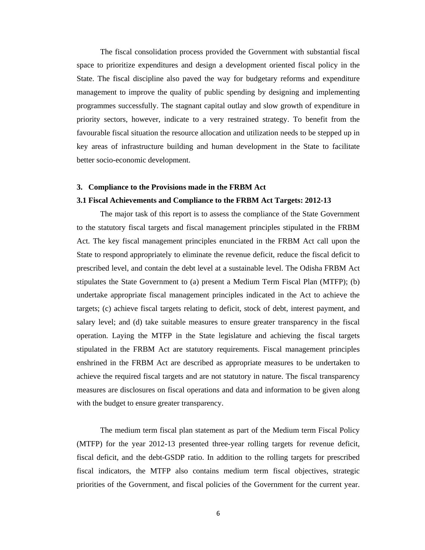The fiscal consolidation process provided the Government with substantial fiscal space to prioritize expenditures and design a development oriented fiscal policy in the State. The fiscal discipline also paved the way for budgetary reforms and expenditure management to improve the quality of public spending by designing and implementing programmes successfully. The stagnant capital outlay and slow growth of expenditure in priority sectors, however, indicate to a very restrained strategy. To benefit from the favourable fiscal situation the resource allocation and utilization needs to be stepped up in key areas of infrastructure building and human development in the State to facilitate better socio-economic development.

#### **3. Compliance to the Provisions made in the FRBM Act**

#### **3.1 Fiscal Achievements and Compliance to the FRBM Act Targets: 2012-13**

 The major task of this report is to assess the compliance of the State Government to the statutory fiscal targets and fiscal management principles stipulated in the FRBM Act. The key fiscal management principles enunciated in the FRBM Act call upon the State to respond appropriately to eliminate the revenue deficit, reduce the fiscal deficit to prescribed level, and contain the debt level at a sustainable level. The Odisha FRBM Act stipulates the State Government to (a) present a Medium Term Fiscal Plan (MTFP); (b) undertake appropriate fiscal management principles indicated in the Act to achieve the targets; (c) achieve fiscal targets relating to deficit, stock of debt, interest payment, and salary level; and (d) take suitable measures to ensure greater transparency in the fiscal operation. Laying the MTFP in the State legislature and achieving the fiscal targets stipulated in the FRBM Act are statutory requirements. Fiscal management principles enshrined in the FRBM Act are described as appropriate measures to be undertaken to achieve the required fiscal targets and are not statutory in nature. The fiscal transparency measures are disclosures on fiscal operations and data and information to be given along with the budget to ensure greater transparency.

The medium term fiscal plan statement as part of the Medium term Fiscal Policy (MTFP) for the year 2012-13 presented three-year rolling targets for revenue deficit, fiscal deficit, and the debt-GSDP ratio. In addition to the rolling targets for prescribed fiscal indicators, the MTFP also contains medium term fiscal objectives, strategic priorities of the Government, and fiscal policies of the Government for the current year.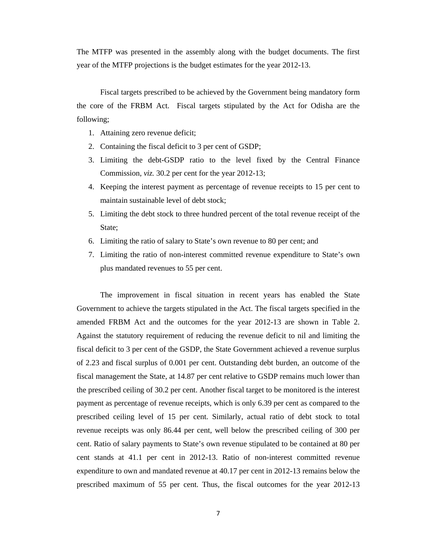The MTFP was presented in the assembly along with the budget documents. The first year of the MTFP projections is the budget estimates for the year 2012-13.

 Fiscal targets prescribed to be achieved by the Government being mandatory form the core of the FRBM Act. Fiscal targets stipulated by the Act for Odisha are the following;

- 1. Attaining zero revenue deficit;
- 2. Containing the fiscal deficit to 3 per cent of GSDP;
- 3. Limiting the debt-GSDP ratio to the level fixed by the Central Finance Commission, *viz.* 30.2 per cent for the year 2012-13;
- 4. Keeping the interest payment as percentage of revenue receipts to 15 per cent to maintain sustainable level of debt stock;
- 5. Limiting the debt stock to three hundred percent of the total revenue receipt of the State;
- 6. Limiting the ratio of salary to State's own revenue to 80 per cent; and
- 7. Limiting the ratio of non-interest committed revenue expenditure to State's own plus mandated revenues to 55 per cent.

 The improvement in fiscal situation in recent years has enabled the State Government to achieve the targets stipulated in the Act. The fiscal targets specified in the amended FRBM Act and the outcomes for the year 2012-13 are shown in Table 2. Against the statutory requirement of reducing the revenue deficit to nil and limiting the fiscal deficit to 3 per cent of the GSDP, the State Government achieved a revenue surplus of 2.23 and fiscal surplus of 0.001 per cent. Outstanding debt burden, an outcome of the fiscal management the State, at 14.87 per cent relative to GSDP remains much lower than the prescribed ceiling of 30.2 per cent. Another fiscal target to be monitored is the interest payment as percentage of revenue receipts, which is only 6.39 per cent as compared to the prescribed ceiling level of 15 per cent. Similarly, actual ratio of debt stock to total revenue receipts was only 86.44 per cent, well below the prescribed ceiling of 300 per cent. Ratio of salary payments to State's own revenue stipulated to be contained at 80 per cent stands at 41.1 per cent in 2012-13. Ratio of non-interest committed revenue expenditure to own and mandated revenue at 40.17 per cent in 2012-13 remains below the prescribed maximum of 55 per cent. Thus, the fiscal outcomes for the year 2012-13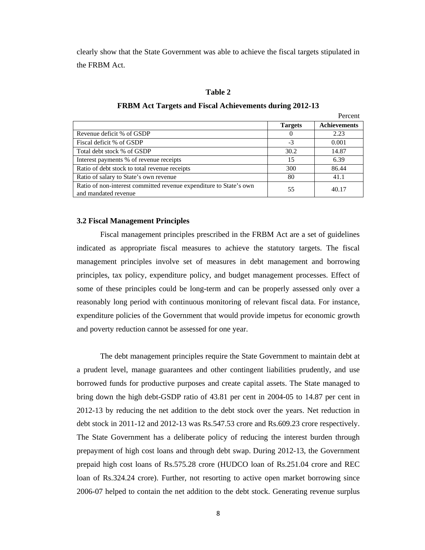clearly show that the State Government was able to achieve the fiscal targets stipulated in the FRBM Act.

#### **Table 2**

| <b>FRBM Act Targets and Fiscal Achievements during 2012-13</b> |  |  |  |  |
|----------------------------------------------------------------|--|--|--|--|
|----------------------------------------------------------------|--|--|--|--|

Percent

|                                                                                            | <b>Targets</b> | <b>Achievements</b> |
|--------------------------------------------------------------------------------------------|----------------|---------------------|
| Revenue deficit % of GSDP                                                                  | $\theta$       | 2.23                |
| Fiscal deficit % of GSDP                                                                   | $-3$           | 0.001               |
| Total debt stock % of GSDP                                                                 | 30.2           | 14.87               |
| Interest payments % of revenue receipts                                                    | 15             | 6.39                |
| Ratio of debt stock to total revenue receipts                                              | 300            | 86.44               |
| Ratio of salary to State's own revenue                                                     | 80             | 41.1                |
| Ratio of non-interest committed revenue expenditure to State's own<br>and mandated revenue | 55             | 40.17               |

#### **3.2 Fiscal Management Principles**

 Fiscal management principles prescribed in the FRBM Act are a set of guidelines indicated as appropriate fiscal measures to achieve the statutory targets. The fiscal management principles involve set of measures in debt management and borrowing principles, tax policy, expenditure policy, and budget management processes. Effect of some of these principles could be long-term and can be properly assessed only over a reasonably long period with continuous monitoring of relevant fiscal data. For instance, expenditure policies of the Government that would provide impetus for economic growth and poverty reduction cannot be assessed for one year.

 The debt management principles require the State Government to maintain debt at a prudent level, manage guarantees and other contingent liabilities prudently, and use borrowed funds for productive purposes and create capital assets. The State managed to bring down the high debt-GSDP ratio of 43.81 per cent in 2004-05 to 14.87 per cent in 2012-13 by reducing the net addition to the debt stock over the years. Net reduction in debt stock in 2011-12 and 2012-13 was Rs.547.53 crore and Rs.609.23 crore respectively. The State Government has a deliberate policy of reducing the interest burden through prepayment of high cost loans and through debt swap. During 2012-13, the Government prepaid high cost loans of Rs.575.28 crore (HUDCO loan of Rs.251.04 crore and REC loan of Rs.324.24 crore). Further, not resorting to active open market borrowing since 2006-07 helped to contain the net addition to the debt stock. Generating revenue surplus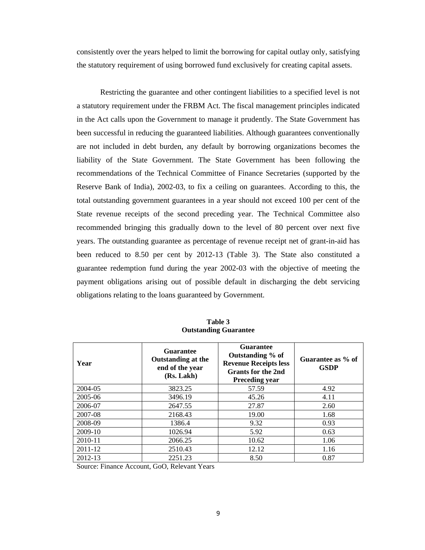consistently over the years helped to limit the borrowing for capital outlay only, satisfying the statutory requirement of using borrowed fund exclusively for creating capital assets.

Restricting the guarantee and other contingent liabilities to a specified level is not a statutory requirement under the FRBM Act. The fiscal management principles indicated in the Act calls upon the Government to manage it prudently. The State Government has been successful in reducing the guaranteed liabilities. Although guarantees conventionally are not included in debt burden, any default by borrowing organizations becomes the liability of the State Government. The State Government has been following the recommendations of the Technical Committee of Finance Secretaries (supported by the Reserve Bank of India), 2002-03, to fix a ceiling on guarantees. According to this, the total outstanding government guarantees in a year should not exceed 100 per cent of the State revenue receipts of the second preceding year. The Technical Committee also recommended bringing this gradually down to the level of 80 percent over next five years. The outstanding guarantee as percentage of revenue receipt net of grant-in-aid has been reduced to 8.50 per cent by 2012-13 (Table 3). The State also constituted a guarantee redemption fund during the year 2002-03 with the objective of meeting the payment obligations arising out of possible default in discharging the debt servicing obligations relating to the loans guaranteed by Government.

| Year    | Guarantee<br><b>Outstanding at the</b><br>end of the year<br>(Rs. Lakh) | <b>Guarantee</b><br>Outstanding % of<br><b>Revenue Receipts less</b><br><b>Grants for the 2nd</b><br><b>Preceding year</b> | Guarantee as % of<br><b>GSDP</b> |
|---------|-------------------------------------------------------------------------|----------------------------------------------------------------------------------------------------------------------------|----------------------------------|
| 2004-05 | 3823.25                                                                 | 57.59                                                                                                                      | 4.92                             |
| 2005-06 | 3496.19                                                                 | 45.26                                                                                                                      | 4.11                             |
| 2006-07 | 2647.55                                                                 | 27.87                                                                                                                      | 2.60                             |
| 2007-08 | 2168.43                                                                 | 19.00                                                                                                                      | 1.68                             |
| 2008-09 | 1386.4                                                                  | 9.32                                                                                                                       | 0.93                             |
| 2009-10 | 1026.94                                                                 | 5.92                                                                                                                       | 0.63                             |
| 2010-11 | 2066.25                                                                 | 10.62                                                                                                                      | 1.06                             |
| 2011-12 | 2510.43                                                                 | 12.12                                                                                                                      | 1.16                             |
| 2012-13 | 2251.23                                                                 | 8.50                                                                                                                       | 0.87                             |

**Table 3 Outstanding Guarantee** 

Source: Finance Account, GoO, Relevant Years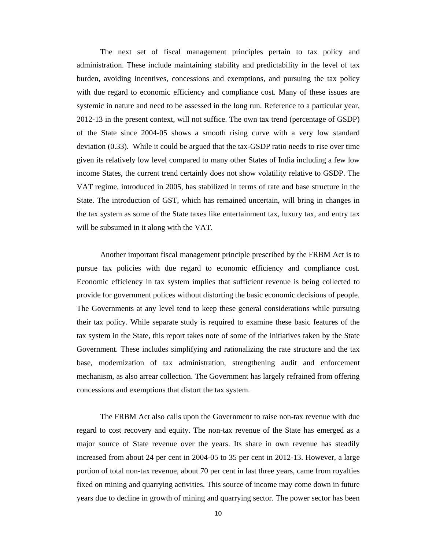The next set of fiscal management principles pertain to tax policy and administration. These include maintaining stability and predictability in the level of tax burden, avoiding incentives, concessions and exemptions, and pursuing the tax policy with due regard to economic efficiency and compliance cost. Many of these issues are systemic in nature and need to be assessed in the long run. Reference to a particular year, 2012-13 in the present context, will not suffice. The own tax trend (percentage of GSDP) of the State since 2004-05 shows a smooth rising curve with a very low standard deviation (0.33). While it could be argued that the tax-GSDP ratio needs to rise over time given its relatively low level compared to many other States of India including a few low income States, the current trend certainly does not show volatility relative to GSDP. The VAT regime, introduced in 2005, has stabilized in terms of rate and base structure in the State. The introduction of GST, which has remained uncertain, will bring in changes in the tax system as some of the State taxes like entertainment tax, luxury tax, and entry tax will be subsumed in it along with the VAT.

Another important fiscal management principle prescribed by the FRBM Act is to pursue tax policies with due regard to economic efficiency and compliance cost. Economic efficiency in tax system implies that sufficient revenue is being collected to provide for government polices without distorting the basic economic decisions of people. The Governments at any level tend to keep these general considerations while pursuing their tax policy. While separate study is required to examine these basic features of the tax system in the State, this report takes note of some of the initiatives taken by the State Government. These includes simplifying and rationalizing the rate structure and the tax base, modernization of tax administration, strengthening audit and enforcement mechanism, as also arrear collection. The Government has largely refrained from offering concessions and exemptions that distort the tax system.

The FRBM Act also calls upon the Government to raise non-tax revenue with due regard to cost recovery and equity. The non-tax revenue of the State has emerged as a major source of State revenue over the years. Its share in own revenue has steadily increased from about 24 per cent in 2004-05 to 35 per cent in 2012-13. However, a large portion of total non-tax revenue, about 70 per cent in last three years, came from royalties fixed on mining and quarrying activities. This source of income may come down in future years due to decline in growth of mining and quarrying sector. The power sector has been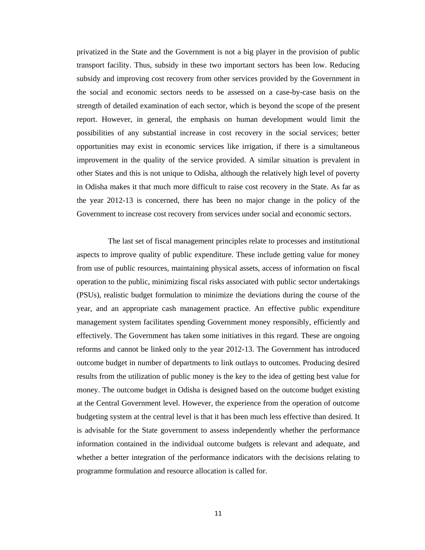privatized in the State and the Government is not a big player in the provision of public transport facility. Thus, subsidy in these two important sectors has been low. Reducing subsidy and improving cost recovery from other services provided by the Government in the social and economic sectors needs to be assessed on a case-by-case basis on the strength of detailed examination of each sector, which is beyond the scope of the present report. However, in general, the emphasis on human development would limit the possibilities of any substantial increase in cost recovery in the social services; better opportunities may exist in economic services like irrigation, if there is a simultaneous improvement in the quality of the service provided. A similar situation is prevalent in other States and this is not unique to Odisha, although the relatively high level of poverty in Odisha makes it that much more difficult to raise cost recovery in the State. As far as the year 2012-13 is concerned, there has been no major change in the policy of the Government to increase cost recovery from services under social and economic sectors.

 The last set of fiscal management principles relate to processes and institutional aspects to improve quality of public expenditure. These include getting value for money from use of public resources, maintaining physical assets, access of information on fiscal operation to the public, minimizing fiscal risks associated with public sector undertakings (PSUs), realistic budget formulation to minimize the deviations during the course of the year, and an appropriate cash management practice. An effective public expenditure management system facilitates spending Government money responsibly, efficiently and effectively. The Government has taken some initiatives in this regard. These are ongoing reforms and cannot be linked only to the year 2012-13. The Government has introduced outcome budget in number of departments to link outlays to outcomes. Producing desired results from the utilization of public money is the key to the idea of getting best value for money. The outcome budget in Odisha is designed based on the outcome budget existing at the Central Government level. However, the experience from the operation of outcome budgeting system at the central level is that it has been much less effective than desired. It is advisable for the State government to assess independently whether the performance information contained in the individual outcome budgets is relevant and adequate, and whether a better integration of the performance indicators with the decisions relating to programme formulation and resource allocation is called for.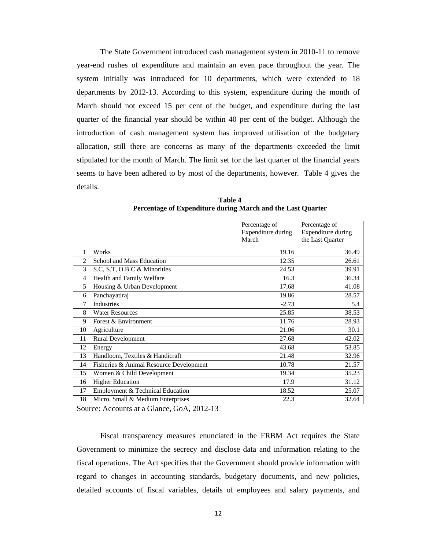The State Government introduced cash management system in 2010-11 to remove year-end rushes of expenditure and maintain an even pace throughout the year. The system initially was introduced for 10 departments, which were extended to 18 departments by 2012-13. According to this system, expenditure during the month of March should not exceed 15 per cent of the budget, and expenditure during the last quarter of the financial year should be within 40 per cent of the budget. Although the introduction of cash management system has improved utilisation of the budgetary allocation, still there are concerns as many of the departments exceeded the limit stipulated for the month of March. The limit set for the last quarter of the financial years seems to have been adhered to by most of the departments, however. Table 4 gives the details.

**Table 4 Percentage of Expenditure during March and the Last Quarter** 

|                |                                         | Percentage of<br>Expenditure during<br>March | Percentage of<br>Expenditure during<br>the Last Quarter |
|----------------|-----------------------------------------|----------------------------------------------|---------------------------------------------------------|
| 1              | Works                                   | 19.16                                        | 36.49                                                   |
| $\overline{c}$ | School and Mass Education               | 12.35                                        | 26.61                                                   |
| 3              | S.C, S.T, O.B.C & Minorities            | 24.53                                        | 39.91                                                   |
| $\overline{4}$ | Health and Family Welfare               | 16.3                                         | 36.34                                                   |
| 5              | Housing & Urban Development             | 17.68                                        | 41.08                                                   |
| 6              | Panchayatiraj                           | 19.86                                        | 28.57                                                   |
| 7              | Industries                              | $-2.73$                                      | 5.4                                                     |
| 8              | <b>Water Resources</b>                  | 25.85                                        | 38.53                                                   |
| 9              | Forest & Environment                    | 11.76                                        | 28.93                                                   |
| 10             | Agriculture                             | 21.06                                        | 30.1                                                    |
| 11             | Rural Development                       | 27.68                                        | 42.02                                                   |
| 12             | Energy                                  | 43.68                                        | 53.85                                                   |
| 13             | Handloom, Textiles & Handicraft         | 21.48                                        | 32.96                                                   |
| 14             | Fisheries & Animal Resource Development | 10.78                                        | 21.57                                                   |
| 15             | Women & Child Development               | 19.34                                        | 35.23                                                   |
| 16             | <b>Higher Education</b>                 | 17.9                                         | 31.12                                                   |
| 17             | Employment & Technical Education        | 18.52                                        | 25.07                                                   |
| 18             | Micro, Small & Medium Enterprises       | 22.3                                         | 32.64                                                   |

Source: Accounts at a Glance, GoA, 2012-13

Fiscal transparency measures enunciated in the FRBM Act requires the State Government to minimize the secrecy and disclose data and information relating to the fiscal operations. The Act specifies that the Government should provide information with regard to changes in accounting standards, budgetary documents, and new policies, detailed accounts of fiscal variables, details of employees and salary payments, and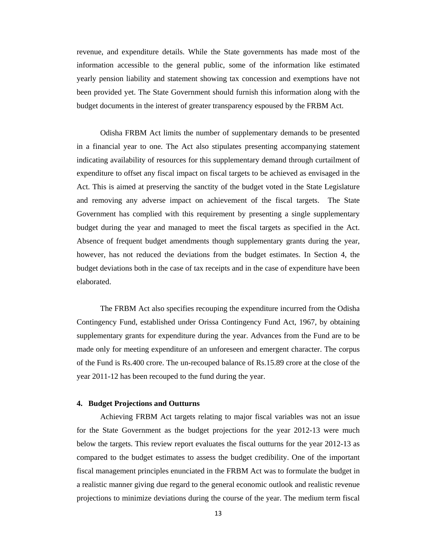revenue, and expenditure details. While the State governments has made most of the information accessible to the general public, some of the information like estimated yearly pension liability and statement showing tax concession and exemptions have not been provided yet. The State Government should furnish this information along with the budget documents in the interest of greater transparency espoused by the FRBM Act.

Odisha FRBM Act limits the number of supplementary demands to be presented in a financial year to one. The Act also stipulates presenting accompanying statement indicating availability of resources for this supplementary demand through curtailment of expenditure to offset any fiscal impact on fiscal targets to be achieved as envisaged in the Act. This is aimed at preserving the sanctity of the budget voted in the State Legislature and removing any adverse impact on achievement of the fiscal targets. The State Government has complied with this requirement by presenting a single supplementary budget during the year and managed to meet the fiscal targets as specified in the Act. Absence of frequent budget amendments though supplementary grants during the year, however, has not reduced the deviations from the budget estimates. In Section 4, the budget deviations both in the case of tax receipts and in the case of expenditure have been elaborated.

 The FRBM Act also specifies recouping the expenditure incurred from the Odisha Contingency Fund, established under Orissa Contingency Fund Act, 1967, by obtaining supplementary grants for expenditure during the year. Advances from the Fund are to be made only for meeting expenditure of an unforeseen and emergent character. The corpus of the Fund is Rs.400 crore. The un-recouped balance of Rs.15.89 crore at the close of the year 2011-12 has been recouped to the fund during the year.

#### **4. Budget Projections and Outturns**

 Achieving FRBM Act targets relating to major fiscal variables was not an issue for the State Government as the budget projections for the year 2012-13 were much below the targets. This review report evaluates the fiscal outturns for the year 2012-13 as compared to the budget estimates to assess the budget credibility. One of the important fiscal management principles enunciated in the FRBM Act was to formulate the budget in a realistic manner giving due regard to the general economic outlook and realistic revenue projections to minimize deviations during the course of the year. The medium term fiscal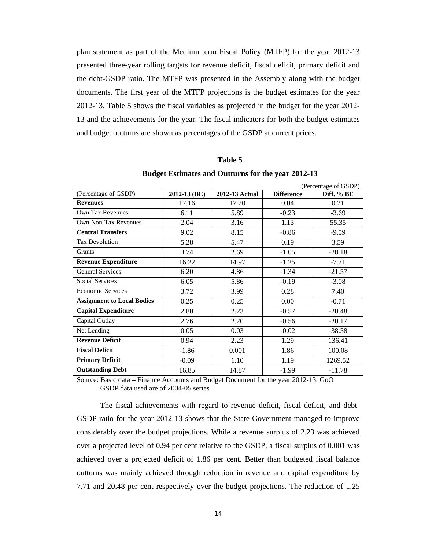plan statement as part of the Medium term Fiscal Policy (MTFP) for the year 2012-13 presented three-year rolling targets for revenue deficit, fiscal deficit, primary deficit and the debt-GSDP ratio. The MTFP was presented in the Assembly along with the budget documents. The first year of the MTFP projections is the budget estimates for the year 2012-13. Table 5 shows the fiscal variables as projected in the budget for the year 2012- 13 and the achievements for the year. The fiscal indicators for both the budget estimates and budget outturns are shown as percentages of the GSDP at current prices.

#### **Table 5**

|                                   |              |                       |                   | (Percentage of GSDP) |
|-----------------------------------|--------------|-----------------------|-------------------|----------------------|
| (Percentage of GSDP)              | 2012-13 (BE) | <b>2012-13 Actual</b> | <b>Difference</b> | Diff. % BE           |
| <b>Revenues</b>                   | 17.16        | 17.20                 | 0.04              | 0.21                 |
| <b>Own Tax Revenues</b>           | 6.11         | 5.89                  | $-0.23$           | $-3.69$              |
| <b>Own Non-Tax Revenues</b>       | 2.04         | 3.16                  | 1.13              | 55.35                |
| <b>Central Transfers</b>          | 9.02         | 8.15                  | $-0.86$           | $-9.59$              |
| <b>Tax Devolution</b>             | 5.28         | 5.47                  | 0.19              | 3.59                 |
| <b>Grants</b>                     | 3.74         | 2.69                  | $-1.05$           | $-28.18$             |
| <b>Revenue Expenditure</b>        | 16.22        | 14.97                 | $-1.25$           | $-7.71$              |
| <b>General Services</b>           | 6.20         | 4.86                  | $-1.34$           | $-21.57$             |
| <b>Social Services</b>            | 6.05         | 5.86                  | $-0.19$           | $-3.08$              |
| <b>Economic Services</b>          | 3.72         | 3.99                  | 0.28              | 7.40                 |
| <b>Assignment to Local Bodies</b> | 0.25         | 0.25                  | 0.00              | $-0.71$              |
| <b>Capital Expenditure</b>        | 2.80         | 2.23                  | $-0.57$           | $-20.48$             |
| Capital Outlay                    | 2.76         | 2.20                  | $-0.56$           | $-20.17$             |
| Net Lending                       | 0.05         | 0.03                  | $-0.02$           | $-38.58$             |
| <b>Revenue Deficit</b>            | 0.94         | 2.23                  | 1.29              | 136.41               |
| <b>Fiscal Deficit</b>             | $-1.86$      | 0.001                 | 1.86              | 100.08               |
| <b>Primary Deficit</b>            | $-0.09$      | 1.10                  | 1.19              | 1269.52              |
| <b>Outstanding Debt</b>           | 16.85        | 14.87                 | $-1.99$           | $-11.78$             |

#### **Budget Estimates and Outturns for the year 2012-13**

 $\rho$  centage

Source: Basic data – Finance Accounts and Budget Document for the year 2012-13, GoO GSDP data used are of 2004-05 series

The fiscal achievements with regard to revenue deficit, fiscal deficit, and debt-GSDP ratio for the year 2012-13 shows that the State Government managed to improve considerably over the budget projections. While a revenue surplus of 2.23 was achieved over a projected level of 0.94 per cent relative to the GSDP, a fiscal surplus of 0.001 was achieved over a projected deficit of 1.86 per cent. Better than budgeted fiscal balance outturns was mainly achieved through reduction in revenue and capital expenditure by 7.71 and 20.48 per cent respectively over the budget projections. The reduction of 1.25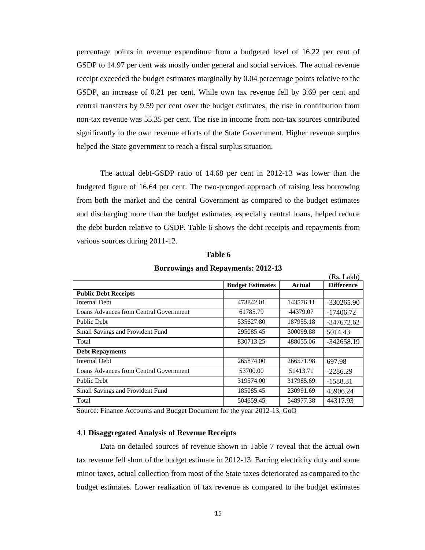percentage points in revenue expenditure from a budgeted level of 16.22 per cent of GSDP to 14.97 per cent was mostly under general and social services. The actual revenue receipt exceeded the budget estimates marginally by 0.04 percentage points relative to the GSDP, an increase of 0.21 per cent. While own tax revenue fell by 3.69 per cent and central transfers by 9.59 per cent over the budget estimates, the rise in contribution from non-tax revenue was 55.35 per cent. The rise in income from non-tax sources contributed significantly to the own revenue efforts of the State Government. Higher revenue surplus helped the State government to reach a fiscal surplus situation.

The actual debt-GSDP ratio of 14.68 per cent in 2012-13 was lower than the budgeted figure of 16.64 per cent. The two-pronged approach of raising less borrowing from both the market and the central Government as compared to the budget estimates and discharging more than the budget estimates, especially central loans, helped reduce the debt burden relative to GSDP. Table 6 shows the debt receipts and repayments from various sources during 2011-12.

|                                         |                         |           | (Rs. Lakh)        |
|-----------------------------------------|-------------------------|-----------|-------------------|
|                                         | <b>Budget Estimates</b> | Actual    | <b>Difference</b> |
| <b>Public Debt Receipts</b>             |                         |           |                   |
| Internal Debt                           | 473842.01               | 143576.11 | $-330265.90$      |
| Loans Advances from Central Government  | 61785.79                | 44379.07  | $-17406.72$       |
| Public Debt                             | 535627.80               | 187955.18 | $-347672.62$      |
| Small Savings and Provident Fund        | 295085.45               | 300099.88 | 5014.43           |
| Total                                   | 830713.25               | 488055.06 | $-342658.19$      |
| <b>Debt Repayments</b>                  |                         |           |                   |
| <b>Internal Debt</b>                    | 265874.00               | 266571.98 | 697.98            |
| Loans Advances from Central Government  | 53700.00                | 51413.71  | $-2286.29$        |
| Public Debt                             | 319574.00               | 317985.69 | $-1588.31$        |
| <b>Small Savings and Provident Fund</b> | 185085.45               | 230991.69 | 45906.24          |
| Total                                   | 504659.45               | 548977.38 | 44317.93          |

#### **Table 6**

#### **Borrowings and Repayments: 2012-13**

Source: Finance Accounts and Budget Document for the year 2012-13, GoO

#### 4.1 **Disaggregated Analysis of Revenue Receipts**

 Data on detailed sources of revenue shown in Table 7 reveal that the actual own tax revenue fell short of the budget estimate in 2012-13. Barring electricity duty and some minor taxes, actual collection from most of the State taxes deteriorated as compared to the budget estimates. Lower realization of tax revenue as compared to the budget estimates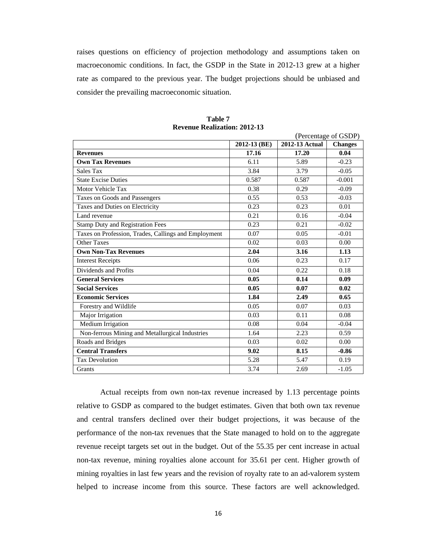raises questions on efficiency of projection methodology and assumptions taken on macroeconomic conditions. In fact, the GSDP in the State in 2012-13 grew at a higher rate as compared to the previous year. The budget projections should be unbiased and consider the prevailing macroeconomic situation.

| (Percentage of GSDP)                                 |              |                |                |  |
|------------------------------------------------------|--------------|----------------|----------------|--|
|                                                      | 2012-13 (BE) | 2012-13 Actual | <b>Changes</b> |  |
| <b>Revenues</b>                                      | 17.16        | 17.20          | 0.04           |  |
| <b>Own Tax Revenues</b>                              | 6.11         | 5.89           | $-0.23$        |  |
| Sales Tax                                            | 3.84         | 3.79           | $-0.05$        |  |
| <b>State Excise Duties</b>                           | 0.587        | 0.587          | $-0.001$       |  |
| Motor Vehicle Tax                                    | 0.38         | 0.29           | $-0.09$        |  |
| Taxes on Goods and Passengers                        | 0.55         | 0.53           | $-0.03$        |  |
| Taxes and Duties on Electricity                      | 0.23         | 0.23           | 0.01           |  |
| Land revenue                                         | 0.21         | 0.16           | $-0.04$        |  |
| <b>Stamp Duty and Registration Fees</b>              | 0.23         | 0.21           | $-0.02$        |  |
| Taxes on Profession, Trades, Callings and Employment | 0.07         | 0.05           | $-0.01$        |  |
| Other Taxes                                          | 0.02         | 0.03           | 0.00           |  |
| <b>Own Non-Tax Revenues</b>                          | 2.04         | 3.16           | 1.13           |  |
| <b>Interest Receipts</b>                             | 0.06         | 0.23           | 0.17           |  |
| Dividends and Profits                                | 0.04         | 0.22           | 0.18           |  |
| <b>General Services</b>                              | 0.05         | 0.14           | 0.09           |  |
| <b>Social Services</b>                               | 0.05         | 0.07           | 0.02           |  |
| <b>Economic Services</b>                             | 1.84         | 2.49           | 0.65           |  |
| Forestry and Wildlife                                | 0.05         | 0.07           | 0.03           |  |
| Major Irrigation                                     | 0.03         | 0.11           | 0.08           |  |
| Medium Irrigation                                    | 0.08         | 0.04           | $-0.04$        |  |
| Non-ferrous Mining and Metallurgical Industries      | 1.64         | 2.23           | 0.59           |  |
| Roads and Bridges                                    | 0.03         | 0.02           | 0.00           |  |
| <b>Central Transfers</b>                             | 9.02         | 8.15           | $-0.86$        |  |
| <b>Tax Devolution</b>                                | 5.28         | 5.47           | 0.19           |  |
| <b>Grants</b>                                        | 3.74         | 2.69           | $-1.05$        |  |

**Table 7 Revenue Realization: 2012-13** 

Actual receipts from own non-tax revenue increased by 1.13 percentage points relative to GSDP as compared to the budget estimates. Given that both own tax revenue and central transfers declined over their budget projections, it was because of the performance of the non-tax revenues that the State managed to hold on to the aggregate revenue receipt targets set out in the budget. Out of the 55.35 per cent increase in actual non-tax revenue, mining royalties alone account for 35.61 per cent. Higher growth of mining royalties in last few years and the revision of royalty rate to an ad-valorem system helped to increase income from this source. These factors are well acknowledged.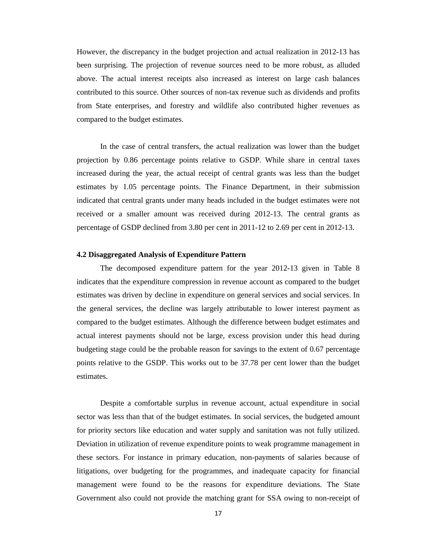However, the discrepancy in the budget projection and actual realization in 2012-13 has been surprising. The projection of revenue sources need to be more robust, as alluded above. The actual interest receipts also increased as interest on large cash balances contributed to this source. Other sources of non-tax revenue such as dividends and profits from State enterprises, and forestry and wildlife also contributed higher revenues as compared to the budget estimates.

In the case of central transfers, the actual realization was lower than the budget projection by 0.86 percentage points relative to GSDP. While share in central taxes increased during the year, the actual receipt of central grants was less than the budget estimates by 1.05 percentage points. The Finance Department, in their submission indicated that central grants under many heads included in the budget estimates were not received or a smaller amount was received during 2012-13. The central grants as percentage of GSDP declined from 3.80 per cent in 2011-12 to 2.69 per cent in 2012-13.

#### **4.2 Disaggregated Analysis of Expenditure Pattern**

 The decomposed expenditure pattern for the year 2012-13 given in Table 8 indicates that the expenditure compression in revenue account as compared to the budget estimates was driven by decline in expenditure on general services and social services. In the general services, the decline was largely attributable to lower interest payment as compared to the budget estimates. Although the difference between budget estimates and actual interest payments should not be large, excess provision under this head during budgeting stage could be the probable reason for savings to the extent of 0.67 percentage points relative to the GSDP. This works out to be 37.78 per cent lower than the budget estimates.

Despite a comfortable surplus in revenue account, actual expenditure in social sector was less than that of the budget estimates. In social services, the budgeted amount for priority sectors like education and water supply and sanitation was not fully utilized. Deviation in utilization of revenue expenditure points to weak programme management in these sectors. For instance in primary education, non-payments of salaries because of litigations, over budgeting for the programmes, and inadequate capacity for financial management were found to be the reasons for expenditure deviations. The State Government also could not provide the matching grant for SSA owing to non-receipt of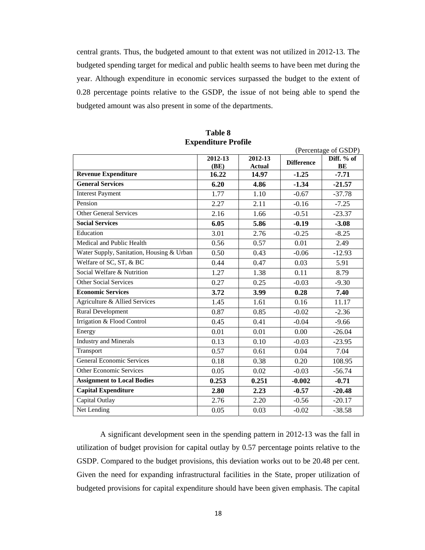central grants. Thus, the budgeted amount to that extent was not utilized in 2012-13. The budgeted spending target for medical and public health seems to have been met during the year. Although expenditure in economic services surpassed the budget to the extent of 0.28 percentage points relative to the GSDP, the issue of not being able to spend the budgeted amount was also present in some of the departments.

|                                           |                 | (Percentage of GSDP) |                   |                  |
|-------------------------------------------|-----------------|----------------------|-------------------|------------------|
|                                           | 2012-13<br>(BE) | 2012-13<br>Actual    | <b>Difference</b> | Diff. % of<br>BE |
| <b>Revenue Expenditure</b>                | 16.22           | 14.97                | $-1.25$           | $-7.71$          |
| <b>General Services</b>                   | 6.20            | 4.86                 | $-1.34$           | $-21.57$         |
| <b>Interest Payment</b>                   | 1.77            | 1.10                 | $-0.67$           | $-37.78$         |
| Pension                                   | 2.27            | 2.11                 | $-0.16$           | $-7.25$          |
| <b>Other General Services</b>             | 2.16            | 1.66                 | $-0.51$           | $-23.37$         |
| <b>Social Services</b>                    | 6.05            | 5.86                 | $-0.19$           | $-3.08$          |
| Education                                 | 3.01            | 2.76                 | $-0.25$           | $-8.25$          |
| Medical and Public Health                 | 0.56            | 0.57                 | 0.01              | 2.49             |
| Water Supply, Sanitation, Housing & Urban | 0.50            | 0.43                 | $-0.06$           | $-12.93$         |
| Welfare of SC, ST, & BC                   | 0.44            | 0.47                 | 0.03              | 5.91             |
| Social Welfare & Nutrition                | 1.27            | 1.38                 | 0.11              | 8.79             |
| <b>Other Social Services</b>              | 0.27            | 0.25                 | $-0.03$           | $-9.30$          |
| <b>Economic Services</b>                  | 3.72            | 3.99                 | 0.28              | 7.40             |
| Agriculture & Allied Services             | 1.45            | 1.61                 | 0.16              | 11.17            |
| <b>Rural Development</b>                  | 0.87            | 0.85                 | $-0.02$           | $-2.36$          |
| Irrigation & Flood Control                | 0.45            | 0.41                 | $-0.04$           | $-9.66$          |
| Energy                                    | 0.01            | 0.01                 | 0.00              | $-26.04$         |
| <b>Industry</b> and Minerals              | 0.13            | 0.10                 | $-0.03$           | $-23.95$         |
| Transport                                 | 0.57            | 0.61                 | 0.04              | 7.04             |
| <b>General Economic Services</b>          | 0.18            | 0.38                 | 0.20              | 108.95           |
| <b>Other Economic Services</b>            | 0.05            | 0.02                 | $-0.03$           | $-56.74$         |
| <b>Assignment to Local Bodies</b>         | 0.253           | 0.251                | $-0.002$          | $-0.71$          |
| <b>Capital Expenditure</b>                | 2.80            | 2.23                 | $-0.57$           | $-20.48$         |
| Capital Outlay                            | 2.76            | 2.20                 | $-0.56$           | $-20.17$         |
| Net Lending                               | 0.05            | 0.03                 | $-0.02$           | $-38.58$         |

**Table 8 Expenditure Profile** 

 A significant development seen in the spending pattern in 2012-13 was the fall in utilization of budget provision for capital outlay by 0.57 percentage points relative to the GSDP. Compared to the budget provisions, this deviation works out to be 20.48 per cent. Given the need for expanding infrastructural facilities in the State, proper utilization of budgeted provisions for capital expenditure should have been given emphasis. The capital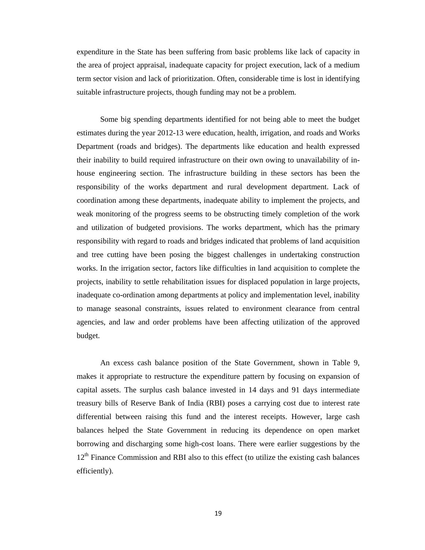expenditure in the State has been suffering from basic problems like lack of capacity in the area of project appraisal, inadequate capacity for project execution, lack of a medium term sector vision and lack of prioritization. Often, considerable time is lost in identifying suitable infrastructure projects, though funding may not be a problem.

Some big spending departments identified for not being able to meet the budget estimates during the year 2012-13 were education, health, irrigation, and roads and Works Department (roads and bridges). The departments like education and health expressed their inability to build required infrastructure on their own owing to unavailability of inhouse engineering section. The infrastructure building in these sectors has been the responsibility of the works department and rural development department. Lack of coordination among these departments, inadequate ability to implement the projects, and weak monitoring of the progress seems to be obstructing timely completion of the work and utilization of budgeted provisions. The works department, which has the primary responsibility with regard to roads and bridges indicated that problems of land acquisition and tree cutting have been posing the biggest challenges in undertaking construction works. In the irrigation sector, factors like difficulties in land acquisition to complete the projects, inability to settle rehabilitation issues for displaced population in large projects, inadequate co-ordination among departments at policy and implementation level, inability to manage seasonal constraints, issues related to environment clearance from central agencies, and law and order problems have been affecting utilization of the approved budget.

An excess cash balance position of the State Government, shown in Table 9, makes it appropriate to restructure the expenditure pattern by focusing on expansion of capital assets. The surplus cash balance invested in 14 days and 91 days intermediate treasury bills of Reserve Bank of India (RBI) poses a carrying cost due to interest rate differential between raising this fund and the interest receipts. However, large cash balances helped the State Government in reducing its dependence on open market borrowing and discharging some high-cost loans. There were earlier suggestions by the 12<sup>th</sup> Finance Commission and RBI also to this effect (to utilize the existing cash balances efficiently).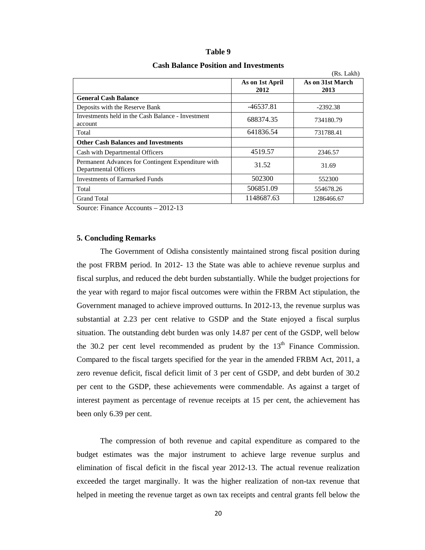#### **Table 9**

|                                                                             |                         | (Rs. Lakh)               |
|-----------------------------------------------------------------------------|-------------------------|--------------------------|
|                                                                             | As on 1st April<br>2012 | As on 31st March<br>2013 |
| <b>General Cash Balance</b>                                                 |                         |                          |
| Deposits with the Reserve Bank                                              | $-46537.81$             | $-2392.38$               |
| Investments held in the Cash Balance - Investment<br>account                | 688374.35               | 734180.79                |
| Total                                                                       | 641836.54               | 731788.41                |
| <b>Other Cash Balances and Investments</b>                                  |                         |                          |
| Cash with Departmental Officers                                             | 4519.57                 | 2346.57                  |
| Permanent Advances for Contingent Expenditure with<br>Departmental Officers | 31.52                   | 31.69                    |
| Investments of Earmarked Funds                                              | 502300                  | 552300                   |
| Total                                                                       | 506851.09               | 554678.26                |
| <b>Grand Total</b>                                                          | 1148687.63              | 1286466.67               |

#### **Cash Balance Position and Investments**

Source: Finance Accounts – 2012-13

#### **5. Concluding Remarks**

 The Government of Odisha consistently maintained strong fiscal position during the post FRBM period. In 2012- 13 the State was able to achieve revenue surplus and fiscal surplus, and reduced the debt burden substantially. While the budget projections for the year with regard to major fiscal outcomes were within the FRBM Act stipulation, the Government managed to achieve improved outturns. In 2012-13, the revenue surplus was substantial at 2.23 per cent relative to GSDP and the State enjoyed a fiscal surplus situation. The outstanding debt burden was only 14.87 per cent of the GSDP, well below the 30.2 per cent level recommended as prudent by the  $13<sup>th</sup>$  Finance Commission. Compared to the fiscal targets specified for the year in the amended FRBM Act, 2011, a zero revenue deficit, fiscal deficit limit of 3 per cent of GSDP, and debt burden of 30.2 per cent to the GSDP, these achievements were commendable. As against a target of interest payment as percentage of revenue receipts at 15 per cent, the achievement has been only 6.39 per cent.

The compression of both revenue and capital expenditure as compared to the budget estimates was the major instrument to achieve large revenue surplus and elimination of fiscal deficit in the fiscal year 2012-13. The actual revenue realization exceeded the target marginally. It was the higher realization of non-tax revenue that helped in meeting the revenue target as own tax receipts and central grants fell below the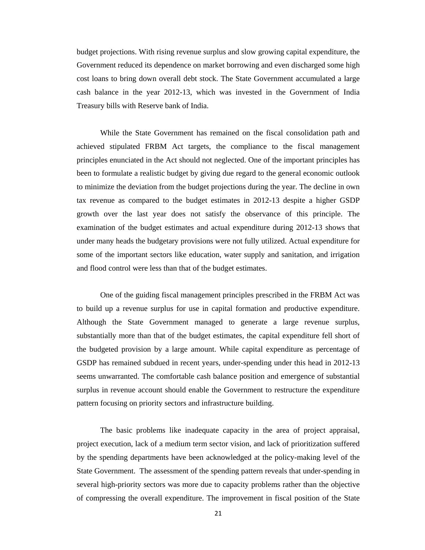budget projections. With rising revenue surplus and slow growing capital expenditure, the Government reduced its dependence on market borrowing and even discharged some high cost loans to bring down overall debt stock. The State Government accumulated a large cash balance in the year 2012-13, which was invested in the Government of India Treasury bills with Reserve bank of India.

 While the State Government has remained on the fiscal consolidation path and achieved stipulated FRBM Act targets, the compliance to the fiscal management principles enunciated in the Act should not neglected. One of the important principles has been to formulate a realistic budget by giving due regard to the general economic outlook to minimize the deviation from the budget projections during the year. The decline in own tax revenue as compared to the budget estimates in 2012-13 despite a higher GSDP growth over the last year does not satisfy the observance of this principle. The examination of the budget estimates and actual expenditure during 2012-13 shows that under many heads the budgetary provisions were not fully utilized. Actual expenditure for some of the important sectors like education, water supply and sanitation, and irrigation and flood control were less than that of the budget estimates.

One of the guiding fiscal management principles prescribed in the FRBM Act was to build up a revenue surplus for use in capital formation and productive expenditure. Although the State Government managed to generate a large revenue surplus, substantially more than that of the budget estimates, the capital expenditure fell short of the budgeted provision by a large amount. While capital expenditure as percentage of GSDP has remained subdued in recent years, under-spending under this head in 2012-13 seems unwarranted. The comfortable cash balance position and emergence of substantial surplus in revenue account should enable the Government to restructure the expenditure pattern focusing on priority sectors and infrastructure building.

The basic problems like inadequate capacity in the area of project appraisal, project execution, lack of a medium term sector vision, and lack of prioritization suffered by the spending departments have been acknowledged at the policy-making level of the State Government. The assessment of the spending pattern reveals that under-spending in several high-priority sectors was more due to capacity problems rather than the objective of compressing the overall expenditure. The improvement in fiscal position of the State